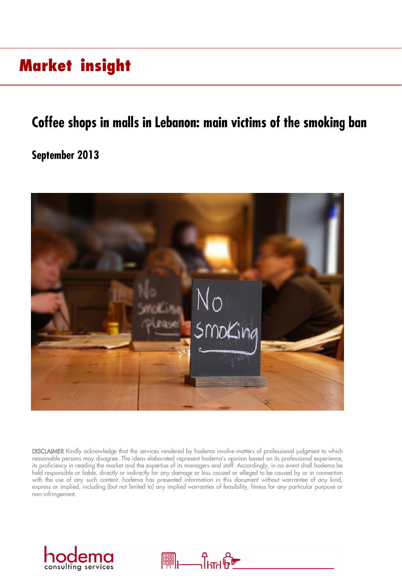### **Coffee shops in malls in Lebanon: main victims of the smoking ban**

### **September 2013**



DISCLAIMER Kindly acknowledge that the services rendered by hodema involve matters of professional judgment to which reasonable persons may disagree. The ideas elaborated represent hodema's opinion based on its professional experience, its proficiency in reading the market and the expertise of its managers and staff. Accordingly, in no event shall hodema be held responsible or liable, directly or indirectly for any damage or loss caused or alleged to be caused by or in connection with the use of any such content. hodema has presented information in this document without warrantee of any kind, express or implied, including (but not limited to) any implied warranties of feasibility, fitness for any particular purpose or non-infringement.



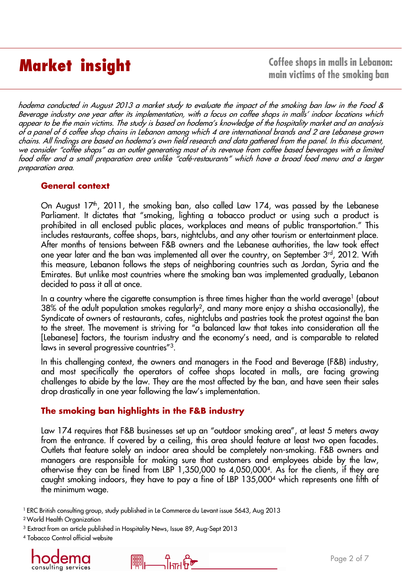**Market insight Coffee shops in malls in Lebanon: main victims of the smoking ban** 

hodema conducted in August <sup>2013</sup> <sup>a</sup> market study to evaluate the impact of the smoking ban law in the Food & Beverage industry one year after its implementation, with <sup>a</sup> focus on coffee shops in malls' indoor locations which appear to be the main victims. The study is based on hodema's knowledge of the hospitality market and an analysis of <sup>a</sup> panel of <sup>6</sup> coffee shop chains in Lebanon among which <sup>4</sup> are international brands and <sup>2</sup> are Lebanese grown chains. All findings are based on hodema's own field research and data gathered from the panel. In this document, we consider "coffee shops" as an outlet generating most of its revenue from coffee based beverages with <sup>a</sup> limited food offer and <sup>a</sup> small preparation area unlike "café-restaurants" which have <sup>a</sup> broad food menu and <sup>a</sup> larger preparation area.

### **General context**

On August 17th, 2011, the smoking ban, also called Law 174, was passed by the Lebanese Parliament. It dictates that "smoking, lighting a tobacco product or using such a product is prohibited in all enclosed public places, workplaces and means of public transportation." This includes restaurants, coffee shops, bars, nightclubs, and any other tourism or entertainment place. After months of tensions between F&B owners and the Lebanese authorities, the law took effect one year later and the ban was implemented all over the country, on September 3<sup>rd</sup>, 2012. With this measure, Lebanon follows the steps of neighboring countries such as Jordan, Syria and the Emirates. But unlike most countries where the smoking ban was implemented gradually, Lebanon decided to pass it all at once.

In a country where the cigarette consumption is three times higher than the world average<sup>1</sup> (about 38% of the adult population smokes regularly<sup>2</sup>, and many more enjoy a shisha occasionally), the Syndicate of owners of restaurants, cafes, nightclubs and pastries took the protest against the ban to the street. The movement is striving for "a balanced law that takes into consideration all the [Lebanese] factors, the tourism industry and the economy's need, and is comparable to related laws in several progressive countries"<sup>3</sup>.

In this challenging context, the owners and managers in the Food and Beverage (F&B) industry, and most specifically the operators of coffee shops located in malls, are facing growing challenges to abide by the law. They are the most affected by the ban, and have seen their sales drop drastically in one year following the law's implementation.

### **The smoking ban highlights in the F&B industry**

Law 174 requires that F&B businesses set up an "outdoor smoking area", at least 5 meters away from the entrance. If covered by a ceiling, this area should feature at least two open facades. Outlets that feature solely an indoor area should be completely non-smoking. F&B owners and managers are responsible for making sure that customers and employees abide by the law, otherwise they can be fined from LBP 1,350,000 to 4,050,000<sup>4</sup> . As for the clients, if they are caught smoking indoors, they have to pay a fine of LBP 135,000<sup>4</sup> which represents one fifth of the minimum wage.

<sup>1</sup> ERC British consulting group, study published in Le Commerce du Levant issue 5643, Aug 2013

**PUBLE 2** 

<sup>3</sup> Extract from an article published in Hospitality News, Issue 89, Aug-Sept 2013

<sup>4</sup> Tobacco Control official website



<sup>2</sup>World Health Organization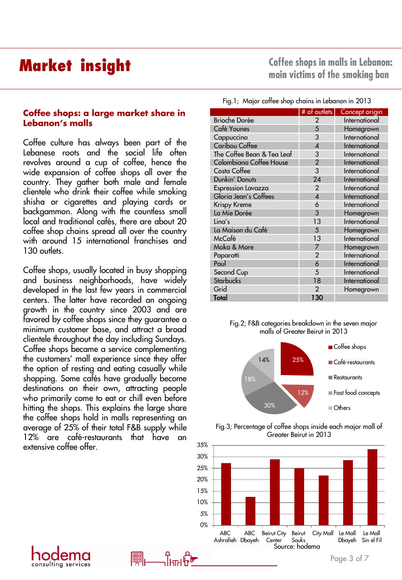### **Coffee shops: a large market share in Lebanon's malls**

Coffee culture has always been part of the Lebanese roots and the social life often revolves around a cup of coffee, hence the wide expansion of coffee shops all over the country. They gather both male and female clientele who drink their coffee while smoking shisha or cigarettes and playing cards or backgammon. Along with the countless small local and traditional cafés, there are about 20 coffee shop chains spread all over the country with around 15 international franchises and 130 outlets.

Coffee shops, usually located in busy shopping and business neighborhoods, have widely developed in the last few years in commercial centers. The latter have recorded an ongoing growth in the country since 2003 and are favored by coffee shops since they guarantee a minimum customer base, and attract a broad clientele throughout the day including Sundays. Coffee shops became a service complementing the customers' mall experience since they offer the option of resting and eating casually while shopping. Some cafés have gradually become destinations on their own, attracting people who primarily come to eat or chill even before hitting the shops. This explains the large share the coffee shops hold in malls representing an average of 25% of their total F&B supply while 12% are café-restaurants that have an extensive coffee offer.

consulting services

**Coffee shops in malls in Lebanon: main victims of the smoking ban** 

|  |  |  |  |  |  |  | Fig.1; Major coffee shop chains in Lebanon in 2013 |
|--|--|--|--|--|--|--|----------------------------------------------------|
|--|--|--|--|--|--|--|----------------------------------------------------|

|                            | # of outlets            | Concept origin |
|----------------------------|-------------------------|----------------|
| <b>Brioche Dorée</b>       | 2                       | International  |
| Café Younes                | 5                       | Homegrown      |
| Cappuccino                 | 3                       | International  |
| <b>Caribou Coffee</b>      | 4                       | International  |
| The Coffee Bean & Tea Leaf | 3                       | International  |
| Colombiano Coffee House    | $\overline{2}$          | International  |
| Costa Coffee               | 3                       | International  |
| Dunkin' Donuts             | 24                      | International  |
| <b>Espression Lavazza</b>  | $\overline{2}$          | International  |
| Gloria Jean's Coffees      | $\overline{\mathbf{A}}$ | International  |
| Krispy Kreme               | 6                       | International  |
| La Mie Dorée               | 3                       | Homegrown      |
| $\mathsf{Lina}\mathsf{S}$  | 13                      | International  |
| La Maison du Café          | 5                       | Homegrown      |
| McCafé                     | 13                      | International  |
| Moka & More                | 7                       | Homegrown      |
| Paparotti                  | $\overline{2}$          | International  |
| Paul                       | 6                       | International  |
| Second Cup                 | 5                       | International  |
| <b>Starbucks</b>           | 18                      | International  |
| Grid                       | 2                       | Homegrown      |
| Total                      | 130                     |                |







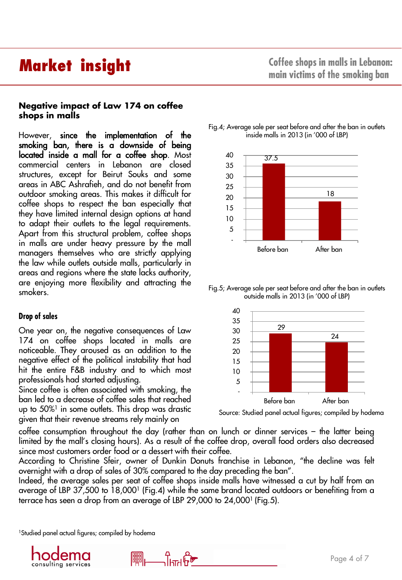### **Negative impact of Law 174 on coffee shops in malls**

However, **since the implementation of the** smoking ban, there is a downside of being located inside a mall for a coffee shop. Most commercial centers in Lebanon are closed structures, except for Beirut Souks and some areas in ABC Ashrafieh, and do not benefit from outdoor smoking areas. This makes it difficult for coffee shops to respect the ban especially that they have limited internal design options at hand to adapt their outlets to the legal requirements. Apart from this structural problem, coffee shops in malls are under heavy pressure by the mall managers themselves who are strictly applying the law while outlets outside malls, particularly in areas and regions where the state lacks authority, are enjoying more flexibility and attracting the smokers.

### **Drop of sales**

One year on, the negative consequences of Law 174 on coffee shops located in malls are noticeable. They aroused as an addition to the negative effect of the political instability that had hit the entire F&B industry and to which most professionals had started adjusting.

Since coffee is often associated with smoking, the ban led to a decrease of coffee sales that reached up to 50%<sup>1</sup> in some outlets. This drop was drastic given that their revenue streams rely mainly on





Fig.5; Average sale per seat before and after the ban in outlets outside malls in 2013 (in '000 of LBP)



Source: Studied panel actual figures; compiled by hodema

coffee consumption throughout the day (rather than on lunch or dinner services – the latter being limited by the mall's closing hours). As a result of the coffee drop, overall food orders also decreased since most customers order food or a dessert with their coffee.

According to Christine Sfeir, owner of Dunkin Donuts franchise in Lebanon, "the decline was felt overnight with a drop of sales of 30% compared to the day preceding the ban".

Indeed, the average sales per seat of coffee shops inside malls have witnessed a cut by half from an average of LBP 37,500 to 18,0001 (Fig.4) while the same brand located outdoors or benetiting from a terrace has seen a drop from an average of LBP 29,000 to 24,000<sup>1</sup> (Fig.5).

ᡨᠾᢪ᠖

<sup>1</sup>Studied panel actual figures; compiled by hodema

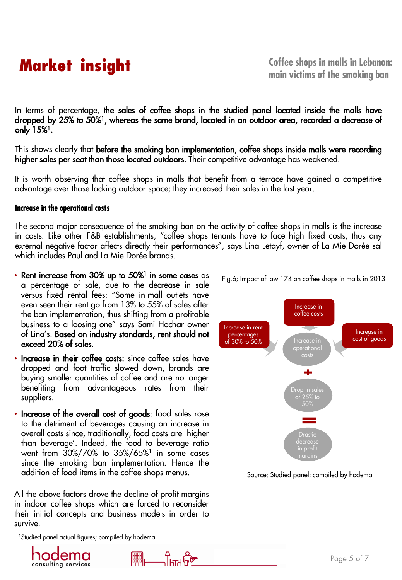**Coffee shops in malls in Lebanon: main victims of the smoking ban** 

In terms of percentage, the sales of coffee shops in the studied panel located inside the malls have dropped by 25% to 50%1, whereas the same brand, located in an outdoor area, recorded a decrease of only 1*5*%<sup>1</sup>.

This shows clearly that before the smoking ban implementation, coffee shops inside malls were recording higher sales per seat than those located outdoors. Their competitive advantage has weakened.

It is worth observing that coffee shops in malls that benefit from a terrace have gained a competitive advantage over those lacking outdoor space; they increased their sales in the last year.

### **Increase in the operational costs**

The second major consequence of the smoking ban on the activity of coffee shops in malls is the increase in costs. Like other F&B establishments, "coffee shops tenants have to face high fixed costs, thus any external negative factor affects directly their performances", says Lina Letayf, owner of La Mie Dorée sal which includes Paul and La Mie Dorée brands.

- Rent increase from 30% up to 50%<sup>1</sup> in some cases as a percentage of sale, due to the decrease in sale versus fixed rental fees: "Some in-mall outlets have even seen their rent go from 13% to 55% of sales after the ban implementation, thus shifting from a profitable business to a loosing one" says Sami Hochar owner of Lina's. Based on industry standards, rent should not exceed 20% of sales.
- Increase in their coffee costs: since coffee sales have dropped and foot traffic slowed down, brands are buying smaller quantities of coffee and are no longer benefiting from advantageous rates from their suppliers.
- Increase of the overall cost of goods: food sales rose to the detriment of beverages causing an increase in overall costs since, traditionally, food costs are higher than beverage'. Indeed, the food to beverage ratio went from 30%/70% to 35%/65%<sup>1</sup> in some cases since the smoking ban implementation. Hence the addition of food items in the coffee shops menus.

All the above factors drove the decline of profit margins in indoor coffee shops which are forced to reconsider their initial concepts and business models in order to survive.

ᡨᠾᢪ᠖

<sup>1</sup>Studied panel actual figures; compiled by hodema





Source: Studied panel; compiled by hodema

Fig.6; Impact of law 174 on coffee shops in malls in 2013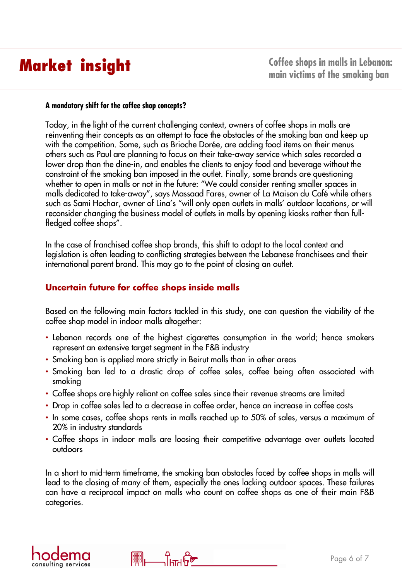### **A mandatory shift for the coffee shop concepts?**

Today, in the light of the current challenging context, owners of coffee shops in malls are reinventing their concepts as an attempt to face the obstacles of the smoking ban and keep up with the competition. Some, such as Brioche Dorée, are adding food items on their menus others such as Paul are planning to focus on their take-away service which sales recorded a lower drop than the dine-in, and enables the clients to enjoy food and beverage without the constraint of the smoking ban imposed in the outlet. Finally, some brands are questioning whether to open in malls or not in the future: "We could consider renting smaller spaces in malls dedicated to take-away", says Massaad Fares, owner of La Maison du Café while others such as Sami Hochar, owner of Lina's "will only open outlets in malls' outdoor locations, or will reconsider changing the business model of outlets in malls by opening kiosks rather than fullfledged coffee shops".

In the case of franchised coffee shop brands, this shift to adapt to the local context and legislation is often leading to conflicting strategies between the Lebanese franchisees and their international parent brand. This may go to the point of closing an outlet.

### **Uncertain future for coffee shops inside malls**

Based on the following main factors tackled in this study, one can question the viability of the coffee shop model in indoor malls altogether:

- Lebanon records one of the highest cigarettes consumption in the world; hence smokers represent an extensive target segment in the F&B industry
- Smoking ban is applied more strictly in Beirut malls than in other areas

᠆᠆╟╨╢┕<br>┙╢┞╨┦╟

**FUEL** 

- Smoking ban led to a drastic drop of coffee sales, coffee being often associated with smoking
- Coffee shops are highly reliant on coffee sales since their revenue streams are limited
- Drop in coffee sales led to a decrease in coffee order, hence an increase in coffee costs
- In some cases, coffee shops rents in malls reached up to 50% of sales, versus a maximum of 20% in industry standards
- Coffee shops in indoor malls are loosing their competitive advantage over outlets located outdoors

In a short to mid-term timeframe, the smoking ban obstacles faced by coffee shops in malls will lead to the closing of many of them, especially the ones lacking outdoor spaces. These failures can have a reciprocal impact on malls who count on coffee shops as one of their main F&B categories.